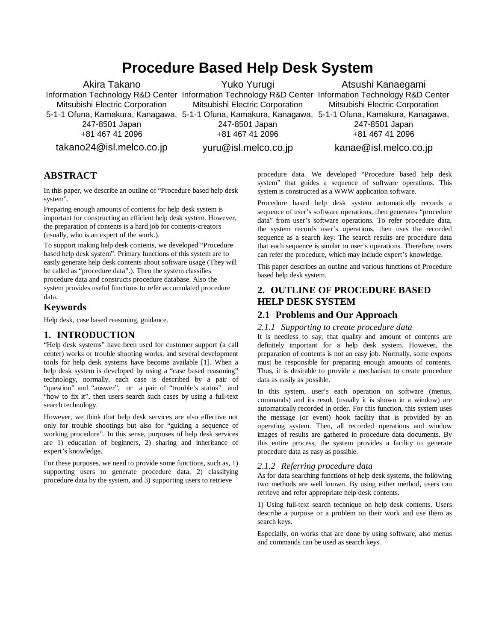# **Procedure Based Help Desk System**

Akira Takano Information Technology R&D Center Information Technology R&D Center Information Technology R&D Center Mitsubishi Electric Corporation 5-1-1 Ofuna, Kamakura, Kanagawa, 5-1-1 Ofuna, Kamakura, Kanagawa, 5-1-1 Ofuna, Kamakura, Kanagawa, 247-8501 Japan +81 467 41 2096 takano24@isl.melco.co.jp Yuko Yurugi Mitsubishi Electric Corporation 247-8501 Japan +81 467 41 2096 yuru@isl.melco.co.jp Atsushi Kanaegami Mitsubishi Electric Corporation 247-8501 Japan +81 467 41 2096 kanae@isl.melco.co.jp

# **ABSTRACT**

In this paper, we describe an outline of "Procedure based help desk system".

Preparing enough amounts of contents for help desk system is important for constructing an efficient help desk system. However, the preparation of contents is a hard job for contents-creators (usually, who is an expert of the work.).

To support making help desk contents, we developed "Procedure based help desk system". Primary functions of this system are to easily generate help desk contents about software usage (They will be called as "procedure data".). Then the system classifies procedure data and constructs procedure database. Also the system provides useful functions to refer accumulated procedure data.

#### **Keywords**

Help desk, case based reasoning, guidance.

## **1. INTRODUCTION**

"Help desk systems" have been used for customer support (a call center) works or trouble shooting works, and several development tools for help desk systems have become available [1]. When a help desk system is developed by using a "case based reasoning" technology, normally, each case is described by a pair of "question" and "answer", or a pair of "trouble's status" and "how to fix it", then users search such cases by using a full-text search technology.

However, we think that help desk services are also effective not only for trouble shootings but also for "guiding a sequence of working procedure". In this sense, purposes of help desk services are 1) education of beginners, 2) sharing and inheritance of expert's knowledge.

For these purposes, we need to provide some functions, such as, 1) supporting users to generate procedure data, 2) classifying procedure data by the system, and 3) supporting users to retrieve

procedure data. We developed "Procedure based help desk system" that guides a sequence of software operations. This system is constructed as a WWW application software.

Procedure based help desk system automatically records a sequence of user's software operations, then generates "procedure data" from user's software operations. To refer procedure data, the system records user's operations, then uses the recorded sequence as a search key. The search results are procedure data that each sequence is similar to user's operations. Therefore, users can refer the procedure, which may include expert's knowledge.

This paper describes an outline and various functions of Procedure based help desk system.

# **2. OUTLINE OF PROCEDURE BASED HELP DESK SYSTEM**

#### **2.1 Problems and Our Approach**

#### *2.1.1 Supporting to create procedure data*

It is needless to say, that quality and amount of contents are definitely important for a help desk system. However, the preparation of contents is not an easy job. Normally, some experts must be responsible for preparing enough amounts of contents. Thus, it is desirable to provide a mechanism to create procedure data as easily as possible.

In this system, user's each operation on software (menus, commands) and its result (usually it is shown in a window) are automatically recorded in order. For this function, this system uses the message (or event) hook facility that is provided by an operating system. Then, all recorded operations and window images of results are gathered in procedure data documents. By this entire process, the system provides a facility to generate procedure data as easy as possible.

#### *2.1.2 Referring procedure data*

As for data searching functions of help desk systems, the following two methods are well known. By using either method, users can retrieve and refer appropriate help desk contents.

1) Using full-text search technique on help desk contents. Users describe a purpose or a problem on their work and use them as search keys.

Especially, on works that are done by using software, also menus and commands can be used as search keys.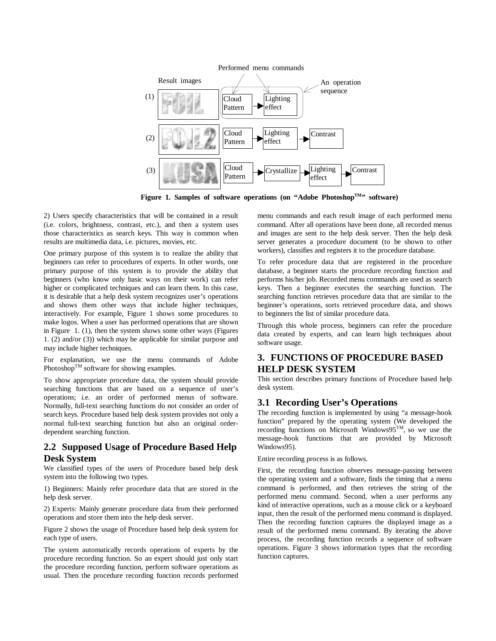

Figure 1. Samples of software operations (on "Adobe Photoshop<sup>TM</sup>" software)

2) Users specify characteristics that will be contained in a result (i.e. colors, brightness, contrast, etc.), and then a system uses those characteristics as search keys. This way is common when results are multimedia data, i.e. pictures, movies, etc.

One primary purpose of this system is to realize the ability that beginners can refer to procedures of experts. In other words, one primary purpose of this system is to provide the ability that beginners (who know only basic ways on their work) can refer higher or complicated techniques and can learn them. In this case, it is desirable that a help desk system recognizes user's operations and shows them other ways that include higher techniques, interactively. For example, Figure 1 shows some procedures to make logos. When a user has performed operations that are shown in Figure 1. (1), then the system shows some other ways (Figures 1. (2) and/or (3)) which may be applicable for similar purpose and may include higher techniques.

For explanation, we use the menu commands of Adobe Photoshop<sup>TM</sup> software for showing examples.

To show appropriate procedure data, the system should provide searching functions that are based on a sequence of user's operations; i.e. an order of performed menus of software. Normally, full-text searching functions do not consider an order of search keys. Procedure based help desk system provides not only a normal full-text searching function but also an original orderdependent searching function.

# **2.2 Supposed Usage of Procedure Based Help Desk System**

We classified types of the users of Procedure based help desk system into the following two types.

1) Beginners: Mainly refer procedure data that are stored in the help desk server.

2) Experts: Mainly generate procedure data from their performed operations and store them into the help desk server.

Figure 2 shows the usage of Procedure based help desk system for each type of users.

The system automatically records operations of experts by the procedure recording function. So an expert should just only start the procedure recording function, perform software operations as usual. Then the procedure recording function records performed

menu commands and each result image of each performed menu command. After all operations have been done, all recorded menus and images are sent to the help desk server. Then the help desk server generates a procedure document (to be shown to other workers), classifies and registers it to the procedure database.

To refer procedure data that are registered in the procedure database, a beginner starts the procedure recording function and performs his/her job. Recorded menu commands are used as search keys. Then a beginner executes the searching function. The searching function retrieves procedure data that are similar to the beginner's operations, sorts retrieved procedure data, and shows to beginners the list of similar procedure data.

Through this whole process, beginners can refer the procedure data created by experts, and can learn high techniques about software usage.

# **3. FUNCTIONS OF PROCEDURE BASED HELP DESK SYSTEM**

This section describes primary functions of Procedure based help desk system.

## **3.1 Recording User's Operations**

The recording function is implemented by using "a message-hook function" prepared by the operating system (We developed the recording functions on Microsoft Windows95TM, so we use the message-hook functions that are provided by Microsoft Windows95).

Entire recording process is as follows.

First, the recording function observes message-passing between the operating system and a software, finds the timing that a menu command is performed, and then retrieves the string of the performed menu command. Second, when a user performs any kind of interactive operations, such as a mouse click or a keyboard input, then the result of the performed menu command is displayed. Then the recording function captures the displayed image as a result of the performed menu command. By iterating the above process, the recording function records a sequence of software operations. Figure 3 shows information types that the recording function captures.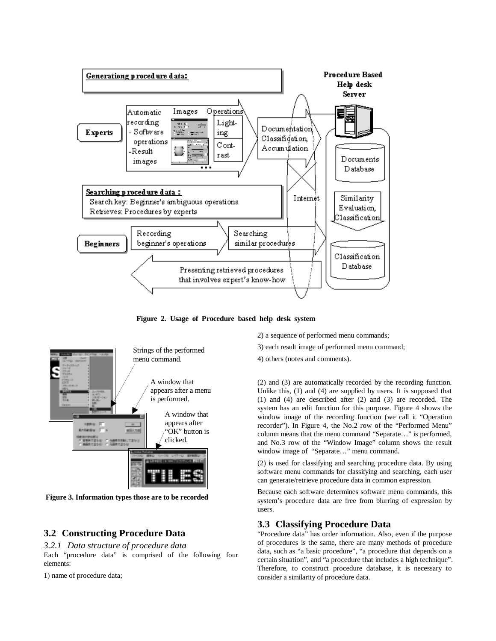

**Figure 2. Usage of Procedure based help desk system**



**Figure 3. Information types those are to be recorded**

# **3.2 Constructing Procedure Data**

*3.2.1 Data structure of procedure data* Each "procedure data" is comprised of the following four elements:

1) name of procedure data;

2) a sequence of performed menu commands;

3) each result image of performed menu command;

4) others (notes and comments).

(2) and (3) are automatically recorded by the recording function. Unlike this, (1) and (4) are supplied by users. It is supposed that (1) and (4) are described after (2) and (3) are recorded. The system has an edit function for this purpose. Figure 4 shows the window image of the recording function (we call it "Operation recorder"). In Figure 4, the No.2 row of the "Performed Menu" column means that the menu command "Separate…" is performed, and No.3 row of the "Window Image" column shows the result window image of "Separate…" menu command.

(2) is used for classifying and searching procedure data. By using software menu commands for classifying and searching, each user can generate/retrieve procedure data in common expression.

Because each software determines software menu commands, this system's procedure data are free from blurring of expression by users.

#### **3.3 Classifying Procedure Data**

"Procedure data" has order information. Also, even if the purpose of procedures is the same, there are many methods of procedure data, such as "a basic procedure", "a procedure that depends on a certain situation", and "a procedure that includes a high technique". Therefore, to construct procedure database, it is necessary to consider a similarity of procedure data.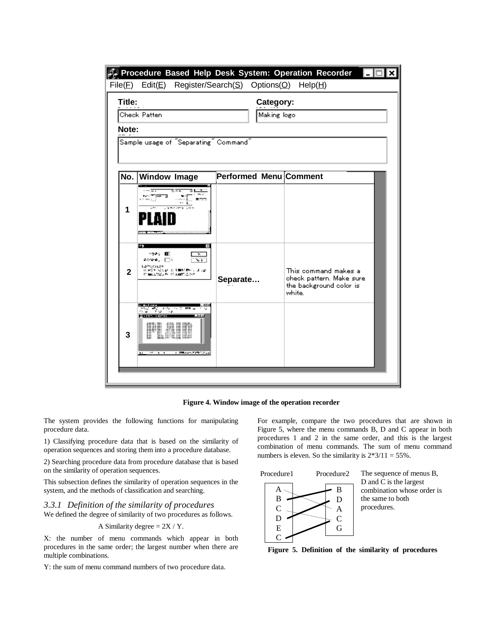|  | File(E)                                                                  | F. Procedure Based Help Desk System: Operation Recorder<br>Edit(E) Register/Search( $S$ ) Options( $Q$ )                                                      |                               | Help(H)                                                                               |  |  |  |  |  |
|--|--------------------------------------------------------------------------|---------------------------------------------------------------------------------------------------------------------------------------------------------------|-------------------------------|---------------------------------------------------------------------------------------|--|--|--|--|--|
|  | Title:<br>Check Patten<br>Note:<br>Sample usage of "Separating" Command" | Category:<br>Making logo                                                                                                                                      |                               |                                                                                       |  |  |  |  |  |
|  | No.                                                                      | <b>Window Image</b>                                                                                                                                           | <b>Performed Menu Comment</b> |                                                                                       |  |  |  |  |  |
|  | 1                                                                        | MARTINE S<br>$\sim$<br>March 2001 Loan 20                                                                                                                     |                               |                                                                                       |  |  |  |  |  |
|  | $\mathbf{2}$                                                             | 95<br><b>Marshall</b><br>AMYA, ETV<br>s, p<br>1,295,01129<br>经财产的 经公价 化多重胶质素 计可见的<br>C. MELLTRED PHOTOGRAPHY                                                  | Separate                      | This command makes a<br>check pattern. Make sure<br>the background color is<br>white. |  |  |  |  |  |
|  | 3                                                                        | en manaar<br>Indonésia di Sang Parti Hallas<br>Parti Hallas di Sang<br>B-IVS KROKE<br>PLAID<br>and Different Additional Con-<br>and the second control of the |                               |                                                                                       |  |  |  |  |  |
|  |                                                                          |                                                                                                                                                               |                               |                                                                                       |  |  |  |  |  |

**Figure 4. Window image of the operation recorder**

The system provides the following functions for manipulating procedure data.

1) Classifying procedure data that is based on the similarity of operation sequences and storing them into a procedure database.

2) Searching procedure data from procedure database that is based on the similarity of operation sequences.

This subsection defines the similarity of operation sequences in the system, and the methods of classification and searching.

*3.3.1 Definition of the similarity of procedures* We defined the degree of similarity of two procedures as follows.

A Similarity degree = 
$$
2X / Y
$$
.

X: the number of menu commands which appear in both procedures in the same order; the largest number when there are multiple combinations.

Y: the sum of menu command numbers of two procedure data.

For example, compare the two procedures that are shown in Figure 5, where the menu commands B, D and C appear in both procedures 1 and 2 in the same order, and this is the largest combination of menu commands. The sum of menu command numbers is eleven. So the similarity is  $2*3/11 = 55\%$ .



The sequence of menus B, D and C is the largest combination whose order is the same to both procedures.

**Figure 5. Definition of the similarity of procedures**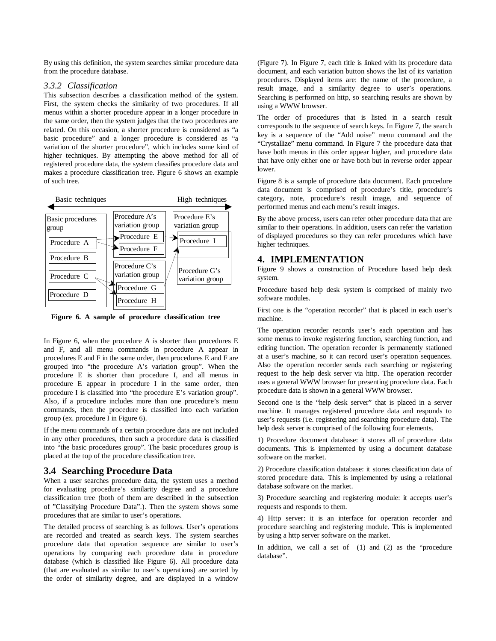By using this definition, the system searches similar procedure data from the procedure database.

# *3.3.2 Classification*

This subsection describes a classification method of the system. First, the system checks the similarity of two procedures. If all menus within a shorter procedure appear in a longer procedure in the same order, then the system judges that the two procedures are related. On this occasion, a shorter procedure is considered as "a basic procedure" and a longer procedure is considered as "a variation of the shorter procedure", which includes some kind of higher techniques. By attempting the above method for all of registered procedure data, the system classifies procedure data and makes a procedure classification tree. Figure 6 shows an example of such tree.



**Figure 6. A sample of procedure classification tree**

In Figure 6, when the procedure A is shorter than procedures E and F, and all menu commands in procedure A appear in procedures E and F in the same order, then procedures E and F are grouped into "the procedure A's variation group". When the procedure E is shorter than procedure I, and all menus in procedure E appear in procedure I in the same order, then procedure I is classified into "the procedure E's variation group". Also, if a procedure includes more than one procedure's menu commands, then the procedure is classified into each variation group (ex. procedure I in Figure 6).

If the menu commands of a certain procedure data are not included in any other procedures, then such a procedure data is classified into "the basic procedures group". The basic procedures group is placed at the top of the procedure classification tree.

#### **3.4 Searching Procedure Data**

When a user searches procedure data, the system uses a method for evaluating procedure's similarity degree and a procedure classification tree (both of them are described in the subsection of "Classifying Procedure Data".). Then the system shows some procedures that are similar to user's operations.

The detailed process of searching is as follows. User's operations are recorded and treated as search keys. The system searches procedure data that operation sequence are similar to user's operations by comparing each procedure data in procedure database (which is classified like Figure 6). All procedure data (that are evaluated as similar to user's operations) are sorted by the order of similarity degree, and are displayed in a window

(Figure 7). In Figure 7, each title is linked with its procedure data document, and each variation button shows the list of its variation procedures. Displayed items are: the name of the procedure, a result image, and a similarity degree to user's operations. Searching is performed on http, so searching results are shown by using a WWW browser.

The order of procedures that is listed in a search result corresponds to the sequence of search keys. In Figure 7, the search key is a sequence of the "Add noise" menu command and the "Crystallize" menu command. In Figure 7 the procedure data that have both menus in this order appear higher, and procedure data that have only either one or have both but in reverse order appear lower.

Figure 8 is a sample of procedure data document. Each procedure data document is comprised of procedure's title, procedure's category, note, procedure's result image, and sequence of performed menus and each menu's result images.

By the above process, users can refer other procedure data that are similar to their operations. In addition, users can refer the variation of displayed procedures so they can refer procedures which have higher techniques.

## **4. IMPLEMENTATION**

Figure 9 shows a construction of Procedure based help desk system.

Procedure based help desk system is comprised of mainly two software modules.

First one is the "operation recorder" that is placed in each user's machine.

The operation recorder records user's each operation and has some menus to invoke registering function, searching function, and editing function. The operation recorder is permanently stationed at a user's machine, so it can record user's operation sequences. Also the operation recorder sends each searching or registering request to the help desk server via http. The operation recorder uses a general WWW browser for presenting procedure data. Each procedure data is shown in a general WWW browser.

Second one is the "help desk server" that is placed in a server machine. It manages registered procedure data and responds to user's requests (i.e. registering and searching procedure data). The help desk server is comprised of the following four elements.

1) Procedure document database: it stores all of procedure data documents. This is implemented by using a document database software on the market.

2) Procedure classification database: it stores classification data of stored procedure data. This is implemented by using a relational database software on the market.

3) Procedure searching and registering module: it accepts user's requests and responds to them.

4) Http server: it is an interface for operation recorder and procedure searching and registering module. This is implemented by using a http server software on the market.

In addition, we call a set of (1) and (2) as the "procedure database".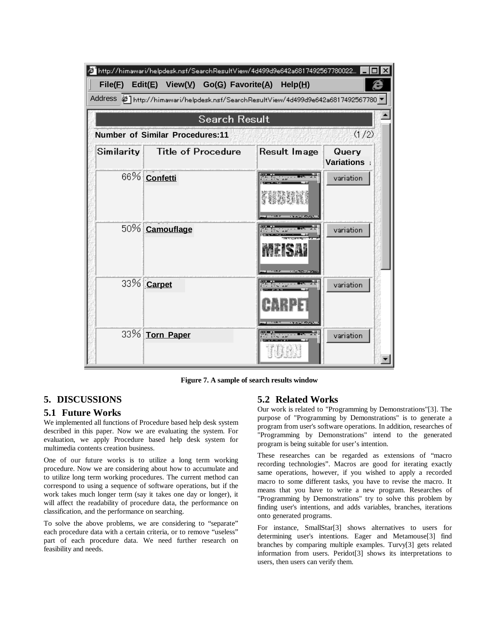

**Figure 7. A sample of search results window**

# **5. DISCUSSIONS**

#### **5.1 Future Works**

We implemented all functions of Procedure based help desk system described in this paper. Now we are evaluating the system. For evaluation, we apply Procedure based help desk system for multimedia contents creation business.

One of our future works is to utilize a long term working procedure. Now we are considering about how to accumulate and to utilize long term working procedures. The current method can correspond to using a sequence of software operations, but if the work takes much longer term (say it takes one day or longer), it will affect the readability of procedure data, the performance on classification, and the performance on searching.

To solve the above problems, we are considering to "separate" each procedure data with a certain criteria, or to remove "useless" part of each procedure data. We need further research on feasibility and needs.

## **5.2 Related Works**

Our work is related to "Programming by Demonstrations"[3]. The purpose of "Programming by Demonstrations" is to generate a program from user's software operations. In addition, researches of "Programming by Demonstrations" intend to the generated program is being suitable for user's intention.

These researches can be regarded as extensions of "macro recording technologies". Macros are good for iterating exactly same operations, however, if you wished to apply a recorded macro to some different tasks, you have to revise the macro. It means that you have to write a new program. Researches of "Programming by Demonstrations" try to solve this problem by finding user's intentions, and adds variables, branches, iterations onto generated programs.

For instance, SmallStar[3] shows alternatives to users for determining user's intentions. Eager and Metamouse[3] find branches by comparing multiple examples. Turvy[3] gets related information from users. Peridot[3] shows its interpretations to users, then users can verify them.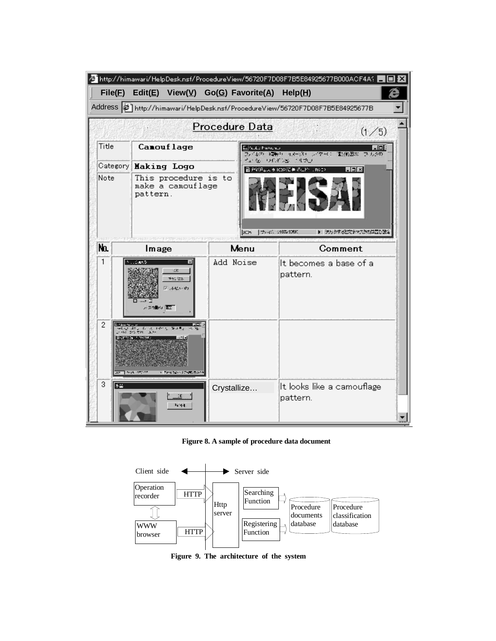|                                                                               |                                                                                                                                |                              | http://himawari/HelpDesk.nsf/ProcedureView/56720F7D08F7B5E84925677B000ACF4A? |  |  |  |
|-------------------------------------------------------------------------------|--------------------------------------------------------------------------------------------------------------------------------|------------------------------|------------------------------------------------------------------------------|--|--|--|
| File(E)                                                                       | Edit(E) View( $\underline{V}$ ) Go(G) Favorite( $\underline{A}$ ) Help( $\underline{H}$ )                                      |                              |                                                                              |  |  |  |
| Address   1ttp://himawari/HelpDesk.nsf/ProcedureView/56720F7D08F7B5E84925677B |                                                                                                                                |                              |                                                                              |  |  |  |
| Procedure Data<br>(1/5)                                                       |                                                                                                                                |                              |                                                                              |  |  |  |
| Title                                                                         | Canouf lage                                                                                                                    | <b>Northern Printers and</b> | - 101<br>ファイルの (機能の) イメージサージングールン<br>個別的因素 ラブルタロ                             |  |  |  |
| Category                                                                      | <b>Making Logo</b>                                                                                                             |                              | 全位 历史语言 机规<br>회회자<br>■ 尹光氏↓文 9 1000亿 長 の出作 (PA IP)                           |  |  |  |
| Note                                                                          | This procedure is to<br>make a camouflage<br>pattern.<br>STRAKE PERMITAN PROTRACE PERMITAN                                     | DC25                         | ▶ ラルクするとでナマスかの体置き設定<br>ファーロ、1937/90RF.                                       |  |  |  |
| No.                                                                           | Image                                                                                                                          | Menu                         | Comment                                                                      |  |  |  |
| 1                                                                             | <b>M. COURTS</b><br>м<br>×.<br>150,000<br>2回収入の<br>人気の働く (風)                                                                   | Add Noise                    | It becomes a base of a<br>pattern.                                           |  |  |  |
| 2                                                                             | en der The West<br>Her der Kant Hour William Ho<br>Kingdom American<br><b>2021 Post 28720</b><br><b>Considered Transaction</b> |                              |                                                                              |  |  |  |
| 3<br>不可                                                                       | гκ.<br>1.44                                                                                                                    | Crystallize                  | It looks like a camouflage<br>pattern.                                       |  |  |  |

# **Figure 8. A sample of procedure data document**



**Figure 9. The architecture of the system**